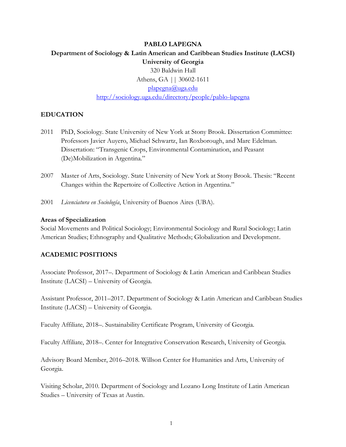### **PABLO LAPEGNA**

# **Department of Sociology & Latin American and Caribbean Studies Institute (LACSI) University of Georgia** 320 Baldwin Hall Athens, GA || 30602-1611

[plapegna@uga.edu](mailto:plapegna@uga.edu)

<http://sociology.uga.edu/directory/people/pablo-lapegna>

### **EDUCATION**

- 2011 PhD, Sociology. State University of New York at Stony Brook. Dissertation Committee: Professors Javier Auyero, Michael Schwartz, Ian Roxborough, and Marc Edelman. Dissertation: "Transgenic Crops, Environmental Contamination, and Peasant (De)Mobilization in Argentina."
- 2007 Master of Arts, Sociology. State University of New York at Stony Brook. Thesis: "Recent Changes within the Repertoire of Collective Action in Argentina."
- 2001 *Licenciatura en Sociología*, University of Buenos Aires (UBA).

#### **Areas of Specialization**

Social Movements and Political Sociology; Environmental Sociology and Rural Sociology; Latin American Studies; Ethnography and Qualitative Methods; Globalization and Development.

#### **ACADEMIC POSITIONS**

Associate Professor, 2017–. Department of Sociology & Latin American and Caribbean Studies Institute (LACSI) – University of Georgia.

Assistant Professor, 2011–2017. Department of Sociology & Latin American and Caribbean Studies Institute (LACSI) – University of Georgia.

Faculty Affiliate, 2018–. Sustainability Certificate Program, University of Georgia.

Faculty Affiliate, 2018–. Center for Integrative Conservation Research, University of Georgia.

Advisory Board Member, 2016–2018. Willson Center for Humanities and Arts, University of Georgia.

Visiting Scholar, 2010. Department of Sociology and Lozano Long Institute of Latin American Studies – University of Texas at Austin.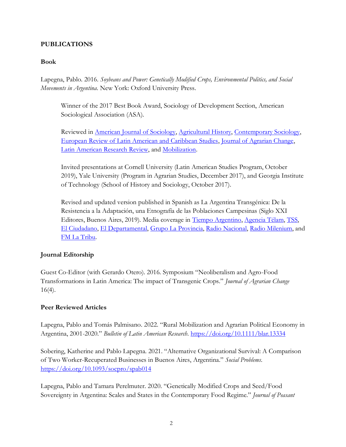### **PUBLICATIONS**

### **Book**

Lapegna, Pablo. 2016. *Soybeans and Power: Genetically Modified Crops, Environmental Politics, and Social Movements in Argentina*. New York: Oxford University Press.

Winner of the 2017 Best Book Award, Sociology of Development Section, American Sociological Association (ASA).

Reviewed in [American Journal of Sociology,](https://www.journals.uchicago.edu/doi/10.1086/708265) [Agricultural History,](https://www.jstor.org/stable/10.3098/ah.2017.091.3.442) [Contemporary Sociology,](https://journals.sagepub.com/doi/full/10.1177/0094306118792220z) [European Review of Latin American and Caribbean Studies,](https://www.erlacs.org/articles/abstract/10.18352/erlacs.10367/) [Journal of Agrarian Change,](https://onlinelibrary.wiley.com/doi/10.1111/joac.12364) [Latin American Research Review,](https://larrlasa.org/articles/10.25222/larr.392/) and [Mobilization.](https://doi.org/10.17813/1086-671X-22.4.511)

Invited presentations at Cornell University (Latin American Studies Program, October 2019), Yale University (Program in Agrarian Studies, December 2017), and Georgia Institute of Technology (School of History and Sociology, October 2017).

Revised and updated version published in Spanish as La Argentina Transgénica: De la Resistencia a la Adaptación, una Etnografía de las Poblaciones Campesinas (Siglo XXI Editores, Buenos Aires, 2019). Media coverage in [Tiempo Argentino,](https://www.tiempoar.com.ar/nota/macri-tercerizo-la-politica-publica-del-agro-y-se-la-dio-a-los-sectores-concentrados?fbclid=IwAR2m5mtc2s2foOsmhypoFPmESYdhcNmIItXmTEMDUJhGEXwvGGVd1lE_hns) [Agencia Télam,](http://www.telam.com.ar/notas/201907/378528-pablo-lapegna-lectura-sociologo.html) [TSS,](http://www.unsam.edu.ar/tss/pablo-lapegna-hay-una-violencia-sutil-y-simbolica-contra-el-campesino/?fbclid=IwAR1Bw_w_FJqfyUi8CUzTFboXgs2uT5GkUbQgsk8mBdskPBhwC73si_FwEBA) [El Ciudadano,](https://www.elciudadanoweb.com/la-argentina-es-un-caso-interesante-de-promesas-incumplidas-de-transgenicos/) [El Departamental,](http://eldepartamental.com/noticia/3018/pablo-lapegna-la-argentina-es-un-caso-interesante-de-promesas-incumplidas-de-tra) [Grupo La Provincia,](https://www.grupolaprovincia.com/cultura/pablo-lapegna-la-argentina-es-un-caso-interesante-de-las-promesas-incumplidas-de-los-transgenicos-336310) [Radio Nacional,](http://www.radionacional.com.ar/la-argentina-transgenica-con-pablo-lapepgna/?fbclid=IwAR2c5rKie7Qy62CHE7RiUdQp4fBZ6eMHYT2whAOijmbGQxVulImnCN1H1OE) [Radio Milenium,](https://radiocut.fm/audiocut/pablo-lapegna-en-puerta-uno/?fbclid=IwAR0RiBa6nfjSfZ4qfIoR35SnZzCQhV-GUYknDaST7dhGMzZ-nr4k_H13XNk) and [FM La Tribu.](https://radiocut.fm/audiocut/pablo-lapegna-argentina-transgenica/?fbclid=IwAR1RZNo5IkZtAafqwsAoFt9cxuQTcBIGC6965tTuoIZw2MYWopquA_Pb1mU)

## **Journal Editorship**

Guest Co-Editor (with Gerardo Otero). 2016. Symposium "Neoliberalism and Agro-Food Transformations in Latin America: The impact of Transgenic Crops." *Journal of Agrarian Change*  $16(4)$ .

## **Peer Reviewed Articles**

Lapegna, Pablo and Tomás Palmisano. 2022. "Rural Mobilization and Agrarian Political Economy in Argentina, 2001-2020." *Bulletin of Latin American Research*. <https://doi.org/10.1111/blar.13334>

Sobering, Katherine and Pablo Lapegna. 2021. "Alternative Organizational Survival: A Comparison of Two Worker-Recuperated Businesses in Buenos Aires, Argentina." *Social Problems*. <https://doi.org/10.1093/socpro/spab014>

Lapegna, Pablo and Tamara Perelmuter. 2020. "Genetically Modified Crops and Seed/Food Sovereignty in Argentina: Scales and States in the Contemporary Food Regime." *Journal of Peasant*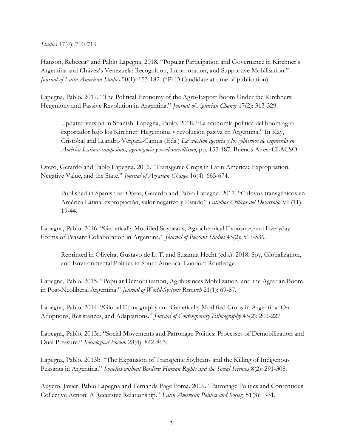*Studies* 47(4): 700-719

Hanson, Rebecca\* and Pablo Lapegna. 2018. "Popular Participation and Governance in Kirchner's Argentina and Chávez's Venezuela: Recognition, Incorporation, and Supportive Mobilisation." *Journal of Latin American Studies* 50(1): 153-182. (\*PhD Candidate at time of publication).

Lapegna, Pablo. 2017. "The Political Economy of the Agro-Export Boom Under the Kirchners: Hegemony and Passive Revolution in Argentina." *Journal of Agrarian Change* 17(2): 313-329.

Updated version in Spanish: Lapegna, Pablo. 2018. "La economía política del boom agroexportador bajo los Kirchner: Hegemonía y revolución pasiva en Argentina." In Kay, Cristóbal and Leandro Vergara-Camus (Eds.) *La cuestión agraria y los gobiernos de izquierda en América Latina: campesinos, agronegocio y neodesarrollismo*, pp. 155-187. Buenos Aires: CLACSO.

Otero, Gerardo and Pablo Lapegna. 2016. "Transgenic Crops in Latin America: Expropriation, Negative Value, and the State." *Journal of Agrarian Change* 16(4): 665-674.

Published in Spanish as: Otero, Gerardo and Pablo Lapegna. 2017. "Cultivos transgénicos en América Latina: expropiación, valor negativo y Estado" *Estudios Críticos del Desarrollo* VI (11): 19-44.

Lapegna, Pablo. 2016. "Genetically Modified Soybeans, Agrochemical Exposure, and Everyday Forms of Peasant Collaboration in Argentina." *Journal of Peasant Studies* 43(2): 517-536.

Reprinted in Oliveira, Gustavo de L. T. and Susanna Hecht (eds.). 2018. Soy, Globalization, and Environmental Politics in South America. London: Routledge.

Lapegna, Pablo. 2015. "Popular Demobilization, Agribusiness Mobilization, and the Agrarian Boom in Post-Neoliberal Argentina." *Journal of World-Systems Research* 21(1): 69-87.

Lapegna, Pablo. 2014. "Global Ethnography and Genetically Modified Crops in Argentina: On Adoptions, Resistances, and Adaptations." *Journal of Contemporary Ethnography* 43(2): 202-227.

Lapegna, Pablo. 2013a. "Social Movements and Patronage Politics: Processes of Demobilization and Dual Pressure." *Sociological Forum* 28(4): 842-863.

Lapegna, Pablo. 2013b. "The Expansion of Transgenic Soybeans and the Killing of Indigenous Peasants in Argentina." *Societies without Borders: Human Rights and the Social Sciences* 8(2): 291-308.

Auyero, Javier, Pablo Lapegna and Fernanda Page Poma. 2009. "Patronage Politics and Contentious Collective Action: A Recursive Relationship." *Latin American Politics and Society* 51(3): 1-31.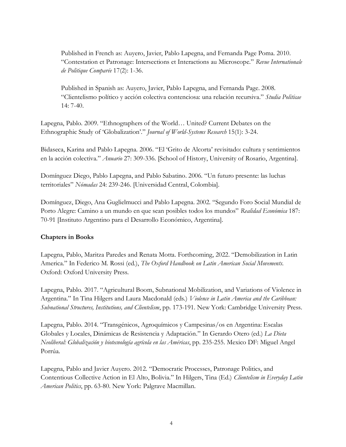Published in French as: Auyero, Javier, Pablo Lapegna, and Fernanda Page Poma. 2010. "Contestation et Patronage: Intersections et Interactions au Microscope." *Revue Internationale de Politique Comparée* 17(2): 1-36.

Published in Spanish as: Auyero, Javier, Pablo Lapegna, and Fernanda Page. 2008. "Clientelismo político y acción colectiva contenciosa: una relación recursiva." *Studia Politicae* 14: 7-40.

Lapegna, Pablo. 2009. "Ethnographers of the World… United? Current Debates on the Ethnographic Study of 'Globalization'." *Journal of World-Systems Research* 15(1): 3-24.

Bidaseca, Karina and Pablo Lapegna. 2006. "El 'Grito de Alcorta' revisitado: cultura y sentimientos en la acción colectiva." *Anuario* 27: 309-336. [School of History, University of Rosario, Argentina].

Domínguez Diego, Pablo Lapegna, and Pablo Sabatino. 2006. "Un futuro presente: las luchas territoriales" *Nómadas* 24: 239-246. [Universidad Central, Colombia].

Domínguez, Diego, Ana Guglielmucci and Pablo Lapegna. 2002. "Segundo Foro Social Mundial de Porto Alegre: Camino a un mundo en que sean posibles todos los mundos" *Realidad Económica* 187: 70-91 [Instituto Argentino para el Desarrollo Económico, Argentina].

#### **Chapters in Books**

Lapegna, Pablo, Maritza Paredes and Renata Motta. Forthcoming, 2022. "Demobilization in Latin America." In Federico M. Rossi (ed.), *The Oxford Handbook on Latin American Social Movements*. Oxford: Oxford University Press.

Lapegna, Pablo. 2017. "Agricultural Boom, Subnational Mobilization, and Variations of Violence in Argentina." In Tina Hilgers and Laura Macdonald (eds.) *Violence in Latin America and the Caribbean: Subnational Structures, Institutions, and Clientelism*, pp. 173-191. New York: Cambridge University Press.

Lapegna, Pablo. 2014. "Transgénicos, Agroquímicos y Campesinas/os en Argentina: Escalas Globales y Locales, Dinámicas de Resistencia y Adaptación." In Gerardo Otero (ed.) *La Dieta Neoliberal: Globalización y biotecnología agrícola en las Américas*, pp. 235-255. Mexico DF: Miguel Angel Porrúa.

Lapegna, Pablo and Javier Auyero. 2012. "Democratic Processes, Patronage Politics, and Contentious Collective Action in El Alto, Bolivia." In Hilgers, Tina (Ed.) *Clientelism in Everyday Latin American Politics*, pp. 63-80. New York: Palgrave Macmillan.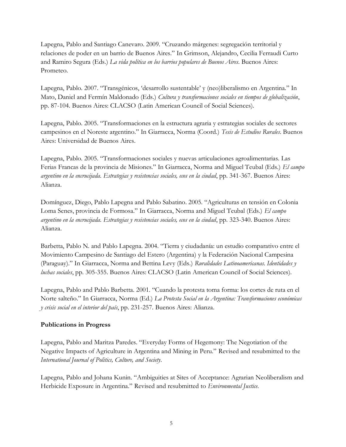Lapegna, Pablo and Santiago Canevaro. 2009. "Cruzando márgenes: segregación territorial y relaciones de poder en un barrio de Buenos Aires." In Grimson, Alejandro, Cecilia Ferraudi Curto and Ramiro Segura (Eds.) *La vida política en los barrios populares de Buenos Aires*. Buenos Aires: Prometeo.

Lapegna, Pablo. 2007. "Transgénicos, 'desarrollo sustentable' y (neo)liberalismo en Argentina." In Mato, Daniel and Fermín Maldonado (Eds.) *Cultura y transformaciones sociales en tiempos de globalización*, pp. 87-104. Buenos Aires: CLACSO (Latin American Council of Social Sciences).

Lapegna, Pablo. 2005. "Transformaciones en la estructura agraria y estrategias sociales de sectores campesinos en el Noreste argentino." In Giarracca, Norma (Coord.) *Tesis de Estudios Rurales*. Buenos Aires: Universidad de Buenos Aires.

Lapegna, Pablo. 2005. "Transformaciones sociales y nuevas articulaciones agroalimentarias. Las Ferias Francas de la provincia de Misiones." In Giarracca, Norma and Miguel Teubal (Eds.) *El campo argentino en la encrucijada. Estrategias y resistencias sociales, ecos en la ciudad*, pp. 341-367. Buenos Aires: Alianza.

Domínguez, Diego, Pablo Lapegna and Pablo Sabatino. 2005. "Agriculturas en tensión en Colonia Loma Senes, provincia de Formosa." In Giarracca, Norma and Miguel Teubal (Eds.) *El campo argentino en la encrucijada. Estrategias y resistencias sociales, ecos en la ciudad*, pp. 323-340. Buenos Aires: Alianza.

Barbetta, Pablo N. and Pablo Lapegna. 2004. "Tierra y ciudadanía: un estudio comparativo entre el Movimiento Campesino de Santiago del Estero (Argentina) y la Federación Nacional Campesina (Paraguay)." In Giarracca, Norma and Bettina Levy (Eds.) *Ruralidades Latinoamericanas. Identidades y luchas sociales*, pp. 305-355. Buenos Aires: CLACSO (Latin American Council of Social Sciences).

Lapegna, Pablo and Pablo Barbetta. 2001. "Cuando la protesta toma forma: los cortes de ruta en el Norte salteño." In Giarracca, Norma (Ed.) *La Protesta Social en la Argentina: Transformaciones económicas y crisis social en el interior del país*, pp. 231-257. Buenos Aires: Alianza.

## **Publications in Progress**

Lapegna, Pablo and Maritza Paredes. "Everyday Forms of Hegemony: The Negotiation of the Negative Impacts of Agriculture in Argentina and Mining in Peru." Revised and resubmitted to the *International Journal of Politics, Culture, and Society*.

Lapegna, Pablo and Johana Kunin. "Ambiguities at Sites of Acceptance: Agrarian Neoliberalism and Herbicide Exposure in Argentina." Revised and resubmitted to *Environmental Justice*.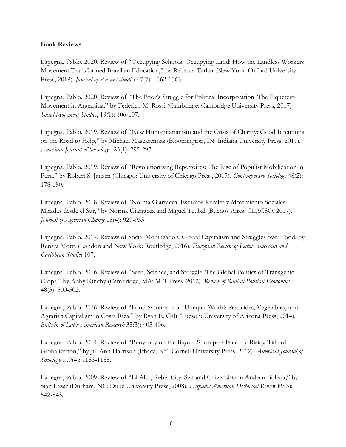#### **Book Reviews**

Lapegna, Pablo. 2020. Review of "Occupying Schools, Occupying Land: How the Landless Workers Movement Transformed Brazilian Education," by Rebecca Tarlau (New York: Oxford University Press, 2019). *Journal of Peasant Studies* 47(7): 1562-1565.

Lapegna, Pablo. 2020. Review of "The Poor's Struggle for Political Incorporation: The Piquetero Movement in Argentina," by Federico M. Rossi (Cambridge: Cambridge University Press, 2017) *Social Movement Studies*, 19(1): 106-107.

Lapegna, Pablo. 2019. Review of "New Humanitarianism and the Crisis of Charity: Good Intentions on the Road to Help," by Michael Mascarenhas (Bloomington, IN: Indiana University Press, 2017). *American Journal of Sociology* 125(1): 295-297.

Lapegna, Pablo. 2019. Review of "Revolutionizing Repertoires: The Rise of Populist Mobilization in Peru," by Robert S. Jansen (Chicago: University of Chicago Press, 2017). *Contemporary Sociology* 48(2): 178-180.

Lapegna, Pablo. 2018. Review of "Norma Giarracca. Estudios Rurales y Movimiento Sociales: Miradas desde el Sur," by Norma Giarracca and Miguel Teubal (Buenos Aires: CLACSO, 2017). *Journal of Agrarian Change* 18(4): 929-933.

Lapegna, Pablo. 2017. Review of Social Mobilization, Global Capitalism and Struggles over Food, by Renata Motta (London and New York: Routledge, 2016). *European Review of Latin American and Caribbean Studies* 107.

Lapegna, Pablo. 2016. Review of "Seed, Science, and Struggle: The Global Politics of Transgenic Crops," by Abby Kinchy (Cambridge, MA: MIT Press, 2012). *Review of Radical Political Economics* 48(3): 500-502.

Lapegna, Pablo. 2016. Review of "Food Systems in an Unequal World: Pesticides, Vegetables, and Agrarian Capitalism in Costa Rica," by Ryan E. Galt (Tucson: University of Arizona Press, 2014). *Bulletin of Latin American Research* 35(3): 405-406.

Lapegna, Pablo. 2014. Review of "Buoyancy on the Bayou: Shrimpers Face the Rising Tide of Globalization," by Jill Ann Harrison (Ithaca, NY: Cornell University Press, 2012). *American Journal of Sociology* 119(4): 1183-1185.

Lapegna, Pablo. 2009. Review of "El Alto, Rebel City: Self and Citizenship in Andean Bolivia," by Sian Lazar (Durham, NC: Duke University Press, 2008). *Hispanic American Historical Review* 89(3): 542-543.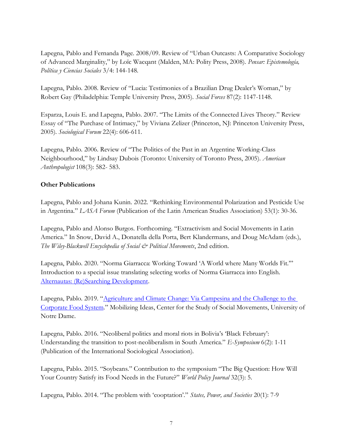Lapegna, Pablo and Fernanda Page. 2008/09. Review of "Urban Outcasts: A Comparative Sociology of Advanced Marginality," by Loïc Wacqant (Malden, MA: Polity Press, 2008). *Pensar: Epistemología, Política y Ciencias Sociales* 3/4: 144-148.

Lapegna, Pablo. 2008. Review of "Lucia: Testimonies of a Brazilian Drug Dealer's Woman," by Robert Gay (Philadelphia: Temple University Press, 2005). *Social Forces* 87(2): 1147-1148.

Esparza, Louis E. and Lapegna, Pablo. 2007. "The Limits of the Connected Lives Theory." Review Essay of "The Purchase of Intimacy," by Viviana Zelizer (Princeton, NJ: Princeton University Press, 2005). *Sociological Forum* 22(4): 606-611.

Lapegna, Pablo. 2006. Review of "The Politics of the Past in an Argentine Working-Class Neighbourhood," by Lindsay Dubois (Toronto: University of Toronto Press, 2005). *American Anthropologist* 108(3): 582- 583.

## **Other Publications**

Lapegna, Pablo and Johana Kunin. 2022. "Rethinking Environmental Polarization and Pesticide Use in Argentina." *LASA Forum* (Publication of the Latin American Studies Association) 53(1): 30-36.

Lapegna, Pablo and Alonso Burgos. Forthcoming. "Extractivism and Social Movements in Latin America." In Snow, David A., Donatella della Porta, Bert Klandermans, and Doug McAdam (eds.), *The Wiley-Blackwell Encyclopedia of Social & Political Movements*, 2nd edition.

Lapegna, Pablo. 2020. "Norma Giarracca: Working Toward 'A World where Many Worlds Fit.'" Introduction to a special issue translating selecting works of Norma Giarracca into English. [Alternautas: \(Re\)Searching Development.](http://www.alternautas.net/)

Lapegna, Pablo. 2019. "[Agriculture and Climate Change: Via Campesina and the Challenge to the](https://mobilizingideas.wordpress.com/2019/03/15/agriculture-and-climate-change-via-campesina-and-the-challenge-to-the-corporate-food-system/)  [Corporate Food System](https://mobilizingideas.wordpress.com/2019/03/15/agriculture-and-climate-change-via-campesina-and-the-challenge-to-the-corporate-food-system/)." Mobilizing Ideas, Center for the Study of Social Movements, University of Notre Dame.

Lapegna, Pablo. 2016. "Neoliberal politics and moral riots in Bolivia's 'Black February': Understanding the transition to post-neoliberalism in South America." *E-Symposium* 6(2): 1-11 (Publication of the International Sociological Association).

Lapegna, Pablo. 2015. "Soybeans." Contribution to the symposium "The Big Question: How Will Your Country Satisfy its Food Needs in the Future?" *World Policy Journal* 32(3): 5.

Lapegna, Pablo. 2014. "The problem with 'cooptation'." *States, Power, and Societies* 20(1): 7-9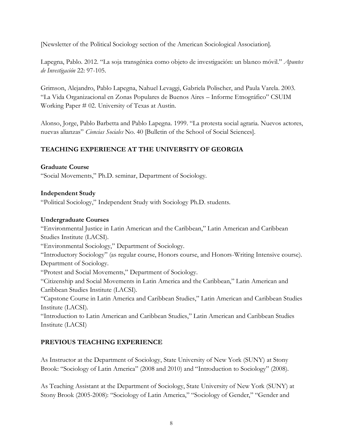[Newsletter of the Political Sociology section of the American Sociological Association].

Lapegna, Pablo. 2012. "La soja transgénica como objeto de investigación: un blanco móvil." *Apuntes de Investigación* 22: 97-105.

Grimson, Alejandro, Pablo Lapegna, Nahuel Levaggi, Gabriela Polischer, and Paula Varela. 2003. "La Vida Organizacional en Zonas Populares de Buenos Aires – Informe Etnográfico" CSUIM Working Paper # 02. University of Texas at Austin.

Alonso, Jorge, Pablo Barbetta and Pablo Lapegna. 1999. "La protesta social agraria. Nuevos actores, nuevas alianzas" *Ciencias Sociales* No. 40 [Bulletin of the School of Social Sciences].

# **TEACHING EXPERIENCE AT THE UNIVERSITY OF GEORGIA**

### **Graduate Course**

"Social Movements," Ph.D. seminar, Department of Sociology.

### **Independent Study**

"Political Sociology," Independent Study with Sociology Ph.D. students.

### **Undergraduate Courses**

"Environmental Justice in Latin American and the Caribbean," Latin American and Caribbean Studies Institute (LACSI).

"Environmental Sociology," Department of Sociology.

"Introductory Sociology" (as regular course, Honors course, and Honors-Writing Intensive course). Department of Sociology.

"Protest and Social Movements," Department of Sociology.

"Citizenship and Social Movements in Latin America and the Caribbean," Latin American and Caribbean Studies Institute (LACSI).

"Capstone Course in Latin America and Caribbean Studies," Latin American and Caribbean Studies Institute (LACSI).

"Introduction to Latin American and Caribbean Studies," Latin American and Caribbean Studies Institute (LACSI)

## **PREVIOUS TEACHING EXPERIENCE**

As Instructor at the Department of Sociology, State University of New York (SUNY) at Stony Brook: "Sociology of Latin America" (2008 and 2010) and "Introduction to Sociology" (2008).

As Teaching Assistant at the Department of Sociology, State University of New York (SUNY) at Stony Brook (2005-2008): "Sociology of Latin America," "Sociology of Gender," "Gender and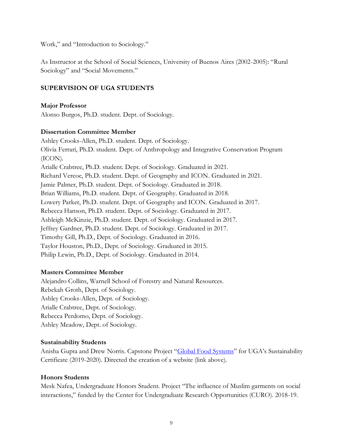Work," and "Introduction to Sociology."

As Instructor at the School of Social Sciences, University of Buenos Aires (2002-2005): "Rural Sociology" and "Social Movements."

### **SUPERVISION OF UGA STUDENTS**

#### **Major Professor**

Alonso Burgos, Ph.D. student. Dept. of Sociology.

#### **Dissertation Committee Member**

Ashley Crooks-Allen, Ph.D. student. Dept. of Sociology. Olivia Ferrari, Ph.D. student. Dept. of Anthropology and Integrative Conservation Program (ICON). Arialle Crabtree, Ph.D. student. Dept. of Sociology. Graduated in 2021. Richard Vercoe, Ph.D. student. Dept. of Geography and ICON. Graduated in 2021. Jamie Palmer, Ph.D. student. Dept. of Sociology. Graduated in 2018. Brian Williams, Ph.D. student. Dept. of Geography. Graduated in 2018. Lowery Parker, Ph.D. student. Dept. of Geography and ICON. Graduated in 2017. Rebecca Hanson, Ph.D. student. Dept. of Sociology. Graduated in 2017. Ashleigh McKinzie, Ph.D. student. Dept. of Sociology. Graduated in 2017. Jeffrey Gardner, Ph.D. student. Dept. of Sociology. Graduated in 2017. Timothy Gill, Ph.D., Dept. of Sociology. Graduated in 2016. Taylor Houston, Ph.D., Dept. of Sociology. Graduated in 2015. Philip Lewin, Ph.D., Dept. of Sociology. Graduated in 2014.

#### **Masters Committee Member**

Alejandro Collins, Warnell School of Forestry and Natural Resources. Rebekah Groth, Dept. of Sociology. Ashley Crooks-Allen, Dept. of Sociology. Arialle Crabtree, Dept. of Sociology. Rebecca Perdomo, Dept. of Sociology. Ashley Meadow, Dept. of Sociology.

#### **Sustainability Students**

Anisha Gupta and Drew Norris. Capstone Project "[Global Food Systems](https://sustainability.uga.edu/community-engagement/foodshed/)" for UGA's Sustainability Certificate (2019-2020). Directed the creation of a website (link above).

#### **Honors Students**

Mesk Nafea, Undergraduate Honors Student. Project "The influence of Muslim garments on social interactions," funded by the Center for Undergraduate Research Opportunities (CURO). 2018-19.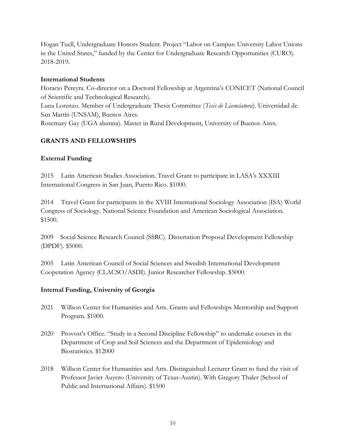Hogan Tuell, Undergraduate Honors Student. Project "Labor on Campus: University Labor Unions in the United States," funded by the Center for Undergraduate Research Opportunities (CURO). 2018-2019.

### **International Students**

Horacio Pereyra. Co-director on a Doctoral Fellowship at Argentina's CONICET (National Council of Scientific and Technological Research). Luna Lorenzo. Member of Undergraduate Thesis Committee (*Tesis de Licenciatura*). Universidad de San Martín (UNSAM), Buenos Aires. Rosemary Gay (UGA alumna). Master in Rural Development, University of Buenos Aires.

# **GRANTS AND FELLOWSHIPS**

## **External Funding**

2015 Latin American Studies Association. Travel Grant to participate in LASA's XXXIII International Congress in San Juan, Puerto Rico. \$1000.

2014 Travel Grant for participants in the XVIII International Sociology Association (ISA) World Congress of Sociology. National Science Foundation and American Sociological Association. \$1500.

2009 Social Science Research Council (SSRC). Dissertation Proposal Development Fellowship (DPDF). \$5000.

2005 Latin American Council of Social Sciences and Swedish International Development Cooperation Agency (CLACSO/ASDI). Junior Researcher Fellowship. \$5000.

## **Internal Funding, University of Georgia**

- 2021 Willson Center for Humanities and Arts. Grants and Fellowships Mentorship and Support Program. \$1000.
- 2020 Provost's Office. "Study in a Second Discipline Fellowship" to undertake courses in the Department of Crop and Soil Sciences and the Department of Epidemiology and Biostatistics. \$12000
- 2018 Willson Center for Humanities and Arts. Distinguished Lecturer Grant to fund the visit of Professor Javier Auyero (University of Texas-Austin). With Gregory Thaler (School of Public and International Affairs). \$1500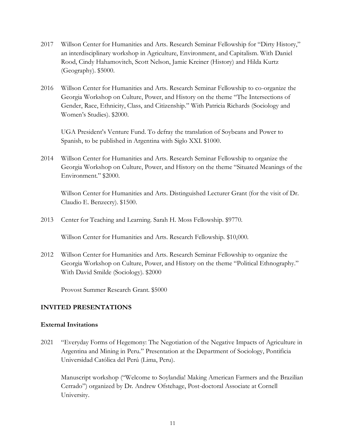- 2017 Willson Center for Humanities and Arts. Research Seminar Fellowship for "Dirty History," an interdisciplinary workshop in Agriculture, Environment, and Capitalism. With Daniel Rood, Cindy Hahamovitch, Scott Nelson, Jamie Kreiner (History) and Hilda Kurtz (Geography). \$5000.
- 2016 Willson Center for Humanities and Arts. Research Seminar Fellowship to co-organize the Georgia Workshop on Culture, Power, and History on the theme "The Intersections of Gender, Race, Ethnicity, Class, and Citizenship." With Patricia Richards (Sociology and Women's Studies). \$2000.

UGA President's Venture Fund. To defray the translation of Soybeans and Power to Spanish, to be published in Argentina with Siglo XXI. \$1000.

2014 Willson Center for Humanities and Arts. Research Seminar Fellowship to organize the Georgia Workshop on Culture, Power, and History on the theme "Situated Meanings of the Environment." \$2000.

Willson Center for Humanities and Arts. Distinguished Lecturer Grant (for the visit of Dr. Claudio E. Benzecry). \$1500.

2013 Center for Teaching and Learning. Sarah H. Moss Fellowship. \$9770.

Willson Center for Humanities and Arts. Research Fellowship. \$10,000.

2012 Willson Center for Humanities and Arts. Research Seminar Fellowship to organize the Georgia Workshop on Culture, Power, and History on the theme "Political Ethnography." With David Smilde (Sociology). \$2000

Provost Summer Research Grant. \$5000

#### **INVITED PRESENTATIONS**

#### **External Invitations**

2021 "Everyday Forms of Hegemony: The Negotiation of the Negative Impacts of Agriculture in Argentina and Mining in Peru." Presentation at the Department of Sociology, Pontificia Universidad Católica del Perú (Lima, Peru).

Manuscript workshop ("Welcome to Soylandia! Making American Farmers and the Brazilian Cerrado") organized by Dr. Andrew Ofstehage, Post-doctoral Associate at Cornell University.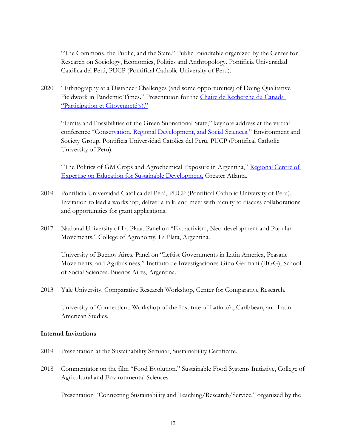"The Commons, the Public, and the State." Public roundtable organized by the Center for Research on Sociology, Economics, Politics and Anthropology. Pontificia Universidad Católica del Perú, PUCP (Pontifical Catholic University of Peru).

2020 "Ethnography at a Distance? Challenges (and some opportunities) of Doing Qualitative Fieldwork in Pandemic Times." Presentation for the [Chaire de Recherche du Canada](http://chaireparticipation.ca/eng/)  ["Participation et Citoyenneté\(s\)."](http://chaireparticipation.ca/eng/)

"Limits and Possibilities of the Green Subnational State," keynote address at the virtual conference "[Conservation, Regional Development, and Social Sciences](https://investigacion.pucp.edu.pe/grupos/geas/noticia-evento/ciclo-webinars-san-martin-conservacion-desarrollo-regional-ciencias-sociales/)." Environment and Society Group, Pontificia Universidad Católica del Perú, PUCP (Pontifical Catholic University of Peru).

"The Politics of GM Crops and Agrochemical Exposure in Argentina," [Regional Centre of](https://rcega.org/)  [Expertise on Education for Sustainable Development,](https://rcega.org/) Greater Atlanta.

- 2019 Pontificia Universidad Católica del Perú, PUCP (Pontifical Catholic University of Peru). Invitation to lead a workshop, deliver a talk, and meet with faculty to discuss collaborations and opportunities for grant applications.
- 2017 National University of La Plata. Panel on "Extractivism, Neo-development and Popular Movements," College of Agronomy. La Plata, Argentina.

University of Buenos Aires. Panel on "Leftist Governments in Latin America, Peasant Movements, and Agribusiness," Instituto de Investigaciones Gino Germani (IIGG), School of Social Sciences. Buenos Aires, Argentina.

2013 Yale University. Comparative Research Workshop, Center for Comparative Research.

University of Connecticut. Workshop of the Institute of Latino/a, Caribbean, and Latin American Studies.

#### **Internal Invitations**

- 2019 Presentation at the Sustainability Seminar, Sustainability Certificate.
- 2018 Commentator on the film "Food Evolution." Sustainable Food Systems Initiative, College of Agricultural and Environmental Sciences.

Presentation "Connecting Sustainability and Teaching/Research/Service," organized by the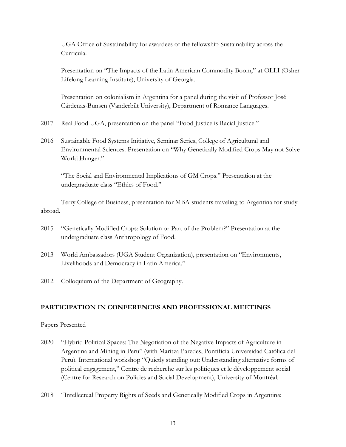UGA Office of Sustainability for awardees of the fellowship Sustainability across the Curricula.

Presentation on "The Impacts of the Latin American Commodity Boom," at OLLI (Osher Lifelong Learning Institute), University of Georgia.

Presentation on colonialism in Argentina for a panel during the visit of Professor José Cárdenas-Bunsen (Vanderbilt University), Department of Romance Languages.

- 2017 Real Food UGA, presentation on the panel "Food Justice is Racial Justice."
- 2016 Sustainable Food Systems Initiative, Seminar Series, College of Agricultural and Environmental Sciences. Presentation on "Why Genetically Modified Crops May not Solve World Hunger."

"The Social and Environmental Implications of GM Crops." Presentation at the undergraduate class "Ethics of Food."

Terry College of Business, presentation for MBA students traveling to Argentina for study abroad.

- 2015 "Genetically Modified Crops: Solution or Part of the Problem?" Presentation at the undergraduate class Anthropology of Food.
- 2013 World Ambassadors (UGA Student Organization), presentation on "Environments, Livelihoods and Democracy in Latin America."
- 2012 Colloquium of the Department of Geography.

## **PARTICIPATION IN CONFERENCES AND PROFESSIONAL MEETINGS**

Papers Presented

- 2020 "Hybrid Political Spaces: The Negotiation of the Negative Impacts of Agriculture in Argentina and Mining in Peru" (with Maritza Paredes, Pontificia Universidad Católica del Peru). International workshop "Quietly standing out: Understanding alternative forms of political engagement," Centre de recherche sur les politiques et le développement social (Centre for Research on Policies and Social Development), University of Montréal.
- 2018 "Intellectual Property Rights of Seeds and Genetically Modified Crops in Argentina: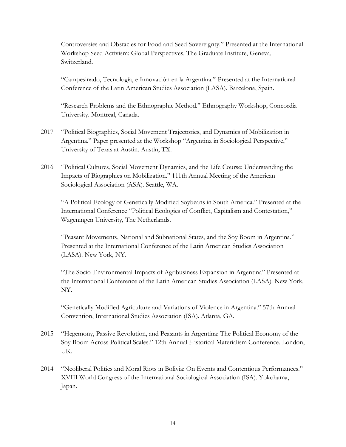Controversies and Obstacles for Food and Seed Sovereignty." Presented at the International Workshop Seed Activism: Global Perspectives, The Graduate Institute, Geneva, Switzerland.

"Campesinado, Tecnología, e Innovación en la Argentina." Presented at the International Conference of the Latin American Studies Association (LASA). Barcelona, Spain.

"Research Problems and the Ethnographic Method." Ethnography Workshop, Concordia University. Montreal, Canada.

- 2017 "Political Biographies, Social Movement Trajectories, and Dynamics of Mobilization in Argentina." Paper presented at the Workshop "Argentina in Sociological Perspective," University of Texas at Austin. Austin, TX.
- 2016 "Political Cultures, Social Movement Dynamics, and the Life Course: Understanding the Impacts of Biographies on Mobilization." 111th Annual Meeting of the American Sociological Association (ASA). Seattle, WA.

"A Political Ecology of Genetically Modified Soybeans in South America." Presented at the International Conference "Political Ecologies of Conflict, Capitalism and Contestation," Wageningen University, The Netherlands.

"Peasant Movements, National and Subnational States, and the Soy Boom in Argentina." Presented at the International Conference of the Latin American Studies Association (LASA). New York, NY.

"The Socio-Environmental Impacts of Agribusiness Expansion in Argentina" Presented at the International Conference of the Latin American Studies Association (LASA). New York, NY.

"Genetically Modified Agriculture and Variations of Violence in Argentina." 57th Annual Convention, International Studies Association (ISA). Atlanta, GA.

- 2015 "Hegemony, Passive Revolution, and Peasants in Argentina: The Political Economy of the Soy Boom Across Political Scales." 12th Annual Historical Materialism Conference. London, UK.
- 2014 "Neoliberal Politics and Moral Riots in Bolivia: On Events and Contentious Performances." XVIII World Congress of the International Sociological Association (ISA). Yokohama, Japan.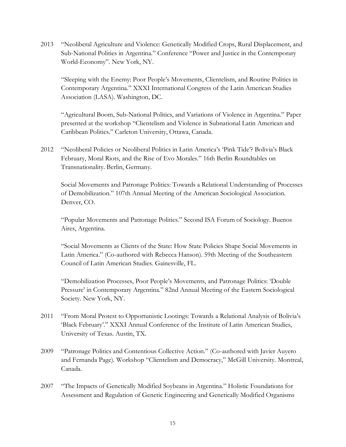2013 "Neoliberal Agriculture and Violence: Genetically Modified Crops, Rural Displacement, and Sub-National Polities in Argentina." Conference "Power and Justice in the Contemporary World-Economy". New York, NY.

"Sleeping with the Enemy: Poor People's Movements, Clientelism, and Routine Politics in Contemporary Argentina." XXXI International Congress of the Latin American Studies Association (LASA). Washington, DC.

"Agricultural Boom, Sub-National Politics, and Variations of Violence in Argentina." Paper presented at the workshop "Clientelism and Violence in Subnational Latin American and Caribbean Politics." Carleton University, Ottawa, Canada.

2012 "Neoliberal Policies or Neoliberal Politics in Latin America's 'Pink Tide'? Bolivia's Black February, Moral Riots, and the Rise of Evo Morales." 16th Berlin Roundtables on Transnationality. Berlin, Germany.

Social Movements and Patronage Politics: Towards a Relational Understanding of Processes of Demobilization." 107th Annual Meeting of the American Sociological Association. Denver, CO.

"Popular Movements and Patronage Politics." Second ISA Forum of Sociology. Buenos Aires, Argentina.

"Social Movements as Clients of the State: How State Policies Shape Social Movements in Latin America." (Co-authored with Rebecca Hanson). 59th Meeting of the Southeastern Council of Latin American Studies. Gainesville, FL.

"Demobilization Processes, Poor People's Movements, and Patronage Politics: 'Double Pressure' in Contemporary Argentina." 82nd Annual Meeting of the Eastern Sociological Society. New York, NY.

- 2011 "From Moral Protest to Opportunistic Lootings: Towards a Relational Analysis of Bolivia's 'Black February'." XXXI Annual Conference of the Institute of Latin American Studies, University of Texas. Austin, TX.
- 2009 "Patronage Politics and Contentious Collective Action." (Co-authored with Javier Auyero and Fernanda Page). Workshop "Clientelism and Democracy," McGill University. Montreal, Canada.
- 2007 "The Impacts of Genetically Modified Soybeans in Argentina." Holistic Foundations for Assessment and Regulation of Genetic Engineering and Genetically Modified Organisms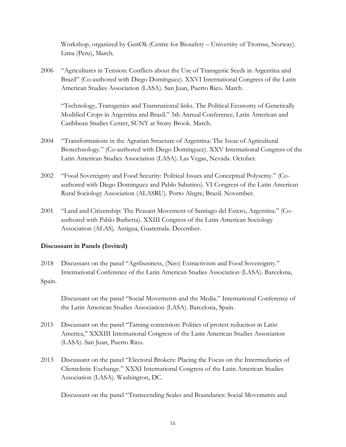Workshop, organized by GenØk (Centre for Biosafety – University of Tromsø, Norway). Lima (Peru), March.

2006 "Agricultures in Tension: Conflicts about the Use of Transgenic Seeds in Argentina and Brazil" (Co-authored with Diego Domínguez). XXVI International Congress of the Latin American Studies Association (LASA). San Juan, Puerto Rico. March.

"Technology, Transgenics and Transnational links. The Political Economy of Genetically Modified Crops in Argentina and Brazil." 5th Annual Conference, Latin American and Caribbean Studies Center, SUNY at Stony Brook. March.

- 2004 "Transformations in the Agrarian Structure of Argentina: The Issue of Agricultural Biotechnology." (Co-authored with Diego Domínguez). XXV International Congress of the Latin American Studies Association (LASA). Las Vegas, Nevada. October.
- 2002 "Food Sovereignty and Food Security: Political Issues and Conceptual Polysemy." (Coauthored with Diego Dominguez and Pablo Sabatino). VI Congress of the Latin American Rural Sociology Association (ALASRU). Porto Alegre, Brazil. November.
- 2001 "Land and Citizenship: The Peasant Movement of Santiago del Estero, Argentina." (Coauthored with Pablo Barbetta). XXIII Congress of the Latin American Sociology Association (ALAS). Antigua, Guatemala. December.

## **Discussant in Panels (Invited)**

2018 Discussant on the panel "Agribusiness, (Neo) Extractivism and Food Sovereignty." International Conference of the Latin American Studies Association (LASA). Barcelona, Spain.

Discussant on the panel "Social Movements and the Media." International Conference of the Latin American Studies Association (LASA). Barcelona, Spain.

- 2015 Discussant on the panel "Taming contention: Politics of protest reduction in Latin America," XXXIII International Congress of the Latin American Studies Association (LASA). San Juan, Puerto Rico.
- 2013 Discussant on the panel "Electoral Brokers: Placing the Focus on the Intermediaries of Clientelistic Exchange." XXXI International Congress of the Latin American Studies Association (LASA). Washington, DC.

Discussant on the panel "Transcending Scales and Boundaries: Social Movements and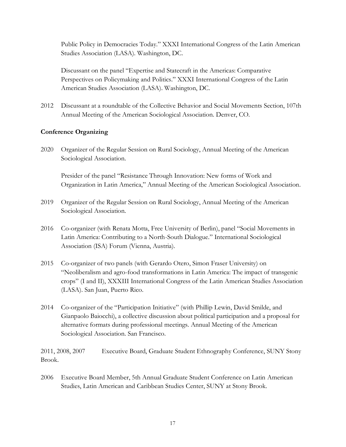Public Policy in Democracies Today." XXXI International Congress of the Latin American Studies Association (LASA). Washington, DC.

Discussant on the panel "Expertise and Statecraft in the Americas: Comparative Perspectives on Policymaking and Politics." XXXI International Congress of the Latin American Studies Association (LASA). Washington, DC.

2012 Discussant at a roundtable of the Collective Behavior and Social Movements Section, 107th Annual Meeting of the American Sociological Association. Denver, CO.

## **Conference Organizing**

2020 Organizer of the Regular Session on Rural Sociology, Annual Meeting of the American Sociological Association.

Presider of the panel "Resistance Through Innovation: New forms of Work and Organization in Latin America," Annual Meeting of the American Sociological Association.

- 2019 Organizer of the Regular Session on Rural Sociology, Annual Meeting of the American Sociological Association.
- 2016 Co-organizer (with Renata Motta, Free University of Berlin), panel "Social Movements in Latin America: Contributing to a North-South Dialogue." International Sociological Association (ISA) Forum (Vienna, Austria).
- 2015 Co-organizer of two panels (with Gerardo Otero, Simon Fraser University) on "Neoliberalism and agro-food transformations in Latin America: The impact of transgenic crops" (I and II), XXXIII International Congress of the Latin American Studies Association (LASA). San Juan, Puerto Rico.
- 2014 Co-organizer of the "Participation Initiative" (with Phillip Lewin, David Smilde, and Gianpaolo Baiocchi), a collective discussion about political participation and a proposal for alternative formats during professional meetings. Annual Meeting of the American Sociological Association. San Francisco.

2011, 2008, 2007 Executive Board, Graduate Student Ethnography Conference, SUNY Stony Brook.

2006 Executive Board Member, 5th Annual Graduate Student Conference on Latin American Studies, Latin American and Caribbean Studies Center, SUNY at Stony Brook.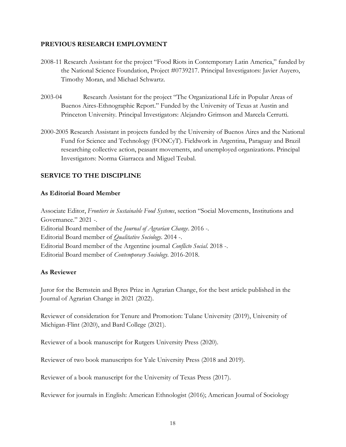#### **PREVIOUS RESEARCH EMPLOYMENT**

- 2008-11 Research Assistant for the project "Food Riots in Contemporary Latin America," funded by the National Science Foundation, Project #0739217. Principal Investigators: Javier Auyero, Timothy Moran, and Michael Schwartz.
- 2003-04 Research Assistant for the project "The Organizational Life in Popular Areas of Buenos Aires-Ethnographic Report." Funded by the University of Texas at Austin and Princeton University. Principal Investigators: Alejandro Grimson and Marcela Cerrutti.
- 2000-2005 Research Assistant in projects funded by the University of Buenos Aires and the National Fund for Science and Technology (FONCyT). Fieldwork in Argentina, Paraguay and Brazil researching collective action, peasant movements, and unemployed organizations. Principal Investigators: Norma Giarracca and Miguel Teubal.

## **SERVICE TO THE DISCIPLINE**

### **As Editorial Board Member**

Associate Editor, *Frontiers in Sustainable Food Systems*, section "Social Movements, Institutions and Governance." 2021 -. Editorial Board member of the *Journal of Agrarian Change*. 2016 -. Editorial Board member of *Qualitative Sociology*. 2014 -. Editorial Board member of the Argentine journal *Conflicto Social*. 2018 -. Editorial Board member of *Contemporary Sociology*. 2016-2018.

## **As Reviewer**

Juror for the Bernstein and Byres Prize in Agrarian Change, for the best article published in the Journal of Agrarian Change in 2021 (2022).

Reviewer of consideration for Tenure and Promotion: Tulane University (2019), University of Michigan-Flint (2020), and Bard College (2021).

Reviewer of a book manuscript for Rutgers University Press (2020).

Reviewer of two book manuscripts for Yale University Press (2018 and 2019).

Reviewer of a book manuscript for the University of Texas Press (2017).

Reviewer for journals in English: American Ethnologist (2016); American Journal of Sociology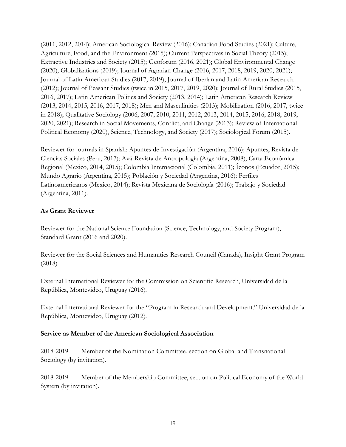(2011, 2012, 2014); American Sociological Review (2016); Canadian Food Studies (2021); Culture, Agriculture, Food, and the Environment (2015); Current Perspectives in Social Theory (2015); Extractive Industries and Society (2015); Geoforum (2016, 2021); Global Environmental Change (2020); Globalizations (2019); Journal of Agrarian Change (2016, 2017, 2018, 2019, 2020, 2021); Journal of Latin American Studies (2017, 2019); Journal of Iberian and Latin American Research (2012); Journal of Peasant Studies (twice in 2015, 2017, 2019, 2020); Journal of Rural Studies (2015, 2016, 2017); Latin American Politics and Society (2013, 2014); Latin American Research Review (2013, 2014, 2015, 2016, 2017, 2018); Men and Masculinities (2013); Mobilization (2016, 2017, twice in 2018); Qualitative Sociology (2006, 2007, 2010, 2011, 2012, 2013, 2014, 2015, 2016, 2018, 2019, 2020, 2021); Research in Social Movements, Conflict, and Change (2013); Review of International Political Economy (2020), Science, Technology, and Society (2017); Sociological Forum (2015).

Reviewer for journals in Spanish: Apuntes de Investigación (Argentina, 2016); Apuntes, Revista de Ciencias Sociales (Peru, 2017); Avá-Revista de Antropología (Argentina, 2008); Carta Económica Regional (Mexico, 2014, 2015); Colombia Internacional (Colombia, 2011); Íconos (Ecuador, 2015); Mundo Agrario (Argentina, 2015); Población y Sociedad (Argentina, 2016); Perfiles Latinoamericanos (Mexico, 2014); Revista Mexicana de Sociología (2016); Trabajo y Sociedad (Argentina, 2011).

# **As Grant Reviewer**

Reviewer for the National Science Foundation (Science, Technology, and Society Program), Standard Grant (2016 and 2020).

Reviewer for the Social Sciences and Humanities Research Council (Canada), Insight Grant Program (2018).

External International Reviewer for the Commission on Scientific Research, Universidad de la República, Montevideo, Uruguay (2016).

External International Reviewer for the "Program in Research and Development." Universidad de la República, Montevideo, Uruguay (2012).

## **Service as Member of the American Sociological Association**

2018-2019 Member of the Nomination Committee, section on Global and Transnational Sociology (by invitation).

2018-2019 Member of the Membership Committee, section on Political Economy of the World System (by invitation).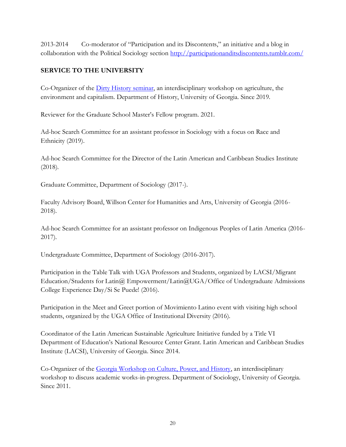2013-2014 Co-moderator of "Participation and its Discontents," an initiative and a blog in collaboration with the Political Sociology section<http://participationanditsdiscontents.tumblr.com/>

# **SERVICE TO THE UNIVERSITY**

Co-Organizer of the [Dirty History seminar,](https://dirty-history.org/) an interdisciplinary workshop on agriculture, the environment and capitalism. Department of History, University of Georgia. Since 2019.

Reviewer for the Graduate School Master's Fellow program. 2021.

Ad-hoc Search Committee for an assistant professor in Sociology with a focus on Race and Ethnicity (2019).

Ad-hoc Search Committee for the Director of the Latin American and Caribbean Studies Institute (2018).

Graduate Committee, Department of Sociology (2017-).

Faculty Advisory Board, Willson Center for Humanities and Arts, University of Georgia (2016- 2018).

Ad-hoc Search Committee for an assistant professor on Indigenous Peoples of Latin America (2016- 2017).

Undergraduate Committee, Department of Sociology (2016-2017).

Participation in the Table Talk with UGA Professors and Students, organized by LACSI/Migrant Education/Students for Latin@ Empowerment/Latin@UGA/Office of Undergraduate Admissions College Experience Day/Si Se Puede! (2016).

Participation in the Meet and Greet portion of Movimiento Latino event with visiting high school students, organized by the UGA Office of Institutional Diversity (2016).

Coordinator of the Latin American Sustainable Agriculture Initiative funded by a Title VI Department of Education's National Resource Center Grant. Latin American and Caribbean Studies Institute (LACSI), University of Georgia. Since 2014.

Co-Organizer of the [Georgia Workshop on Culture, Power, and History,](http://research.franklin.uga.edu/cph/) an interdisciplinary workshop to discuss academic works-in-progress. Department of Sociology, University of Georgia. Since 2011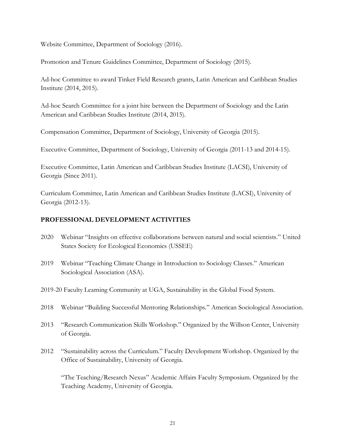Website Committee, Department of Sociology (2016).

Promotion and Tenure Guidelines Committee, Department of Sociology (2015).

Ad-hoc Committee to award Tinker Field Research grants, Latin American and Caribbean Studies Institute (2014, 2015).

Ad-hoc Search Committee for a joint hire between the Department of Sociology and the Latin American and Caribbean Studies Institute (2014, 2015).

Compensation Committee, Department of Sociology, University of Georgia (2015).

Executive Committee, Department of Sociology, University of Georgia (2011-13 and 2014-15).

Executive Committee, Latin American and Caribbean Studies Institute (LACSI), University of Georgia (Since 2011).

Curriculum Committee, Latin American and Caribbean Studies Institute (LACSI), University of Georgia (2012-13).

#### **PROFESSIONAL DEVELOPMENT ACTIVITIES**

- 2020 Webinar "Insights on effective collaborations between natural and social scientists." United States Society for Ecological Economics (USSEE)
- 2019 Webinar "Teaching Climate Change in Introduction to Sociology Classes." American Sociological Association (ASA).
- 2019-20 Faculty Learning Community at UGA, Sustainability in the Global Food System.
- 2018 Webinar "Building Successful Mentoring Relationships." American Sociological Association.
- 2013 "Research Communication Skills Workshop." Organized by the Willson Center, University of Georgia.
- 2012 "Sustainability across the Curriculum." Faculty Development Workshop. Organized by the Office of Sustainability, University of Georgia.

"The Teaching/Research Nexus" Academic Affairs Faculty Symposium. Organized by the Teaching Academy, University of Georgia.